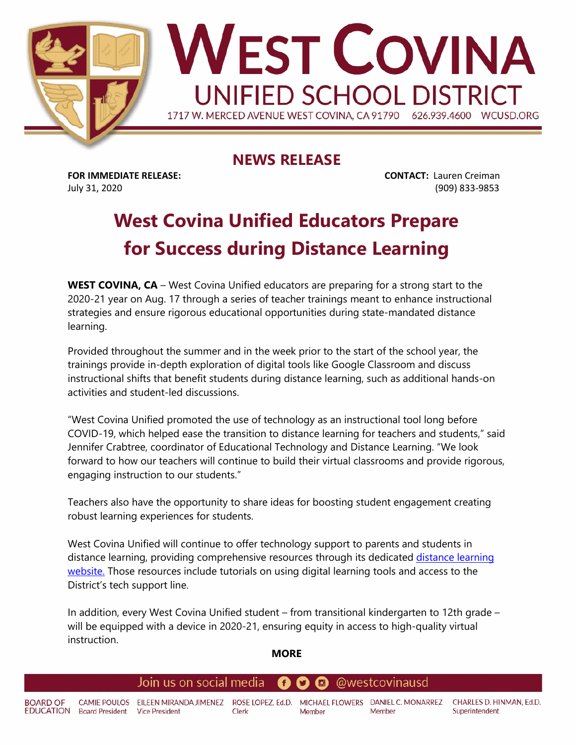

## **NEWS RELEASE**

**FOR IMMEDIATE RELEASE: CONTACT:** Lauren Creiman July 31, 2020 (909) 833-9853

# **West Covina Unified Educators Prepare for Success during Distance Learning**

**WEST COVINA, CA** – West Covina Unified educators are preparing for a strong start to the 2020-21 year on Aug. 17 through a series of teacher trainings meant to enhance instructional strategies and ensure rigorous educational opportunities during state-mandated distance learning.

Provided throughout the summer and in the week prior to the start of the school year, the trainings provide in-depth exploration of digital tools like Google Classroom and discuss instructional shifts that benefit students during distance learning, such as additional hands-on activities and student-led discussions.

"West Covina Unified promoted the use of technology as an instructional tool long before COVID-19, which helped ease the transition to distance learning for teachers and students," said Jennifer Crabtree, coordinator of Educational Technology and Distance Learning. "We look forward to how our teachers will continue to build their virtual classrooms and provide rigorous, engaging instruction to our students."

Teachers also have the opportunity to share ideas for boosting student engagement creating robust learning experiences for students.

West Covina Unified will continue to offer technology support to parents and students in distance learning, providing comprehensive resources through its dedicated distance learning [website.](https://sites.google.com/wcusd.net/remote-learning) Those resources include tutorials on using digital learning tools and access to the District's tech support line.

In addition, every West Covina Unified student – from transitional kindergarten to 12th grade – will be equipped with a device in 2020-21, ensuring equity in access to high-quality virtual instruction.

## **MORE**

### Join us on social media @westcovinausd Œ 0

**BOARD OF** CAMIE POULOS EILEEN MIRANDA JIMENEZ ROSE LOPEZ, Ed.D. MICHAEL FLOWERS DANIEL C. MONARREZ CHARLES D. HINMAN, Ed.D. EDUCATION Board President Vice President Clerk Member Member Superintendent